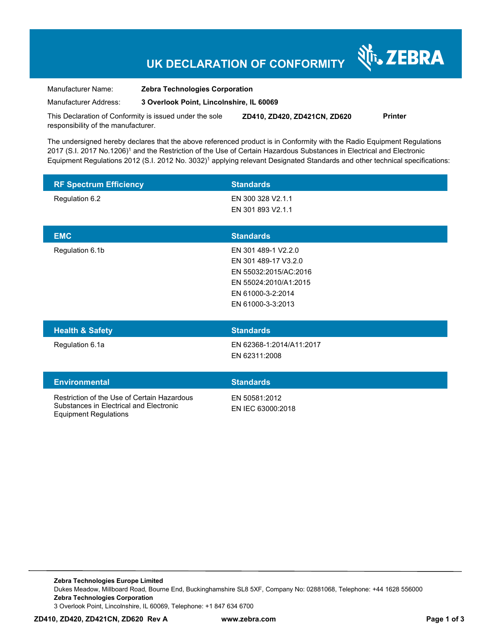## **UK DECLARATION OF CONFORMITY**

Nr. ZEBRA

| Manufacturer Name:    | <b>Zebra Technologies Corporation</b>    |
|-----------------------|------------------------------------------|
| Manufacturer Address: | 3 Overlook Point, Lincolnshire, IL 60069 |

This Declaration of Conformity is issued under the sole responsibility of the manufacturer. **ZD410, ZD420, ZD421CN, ZD620 Printer** 

The undersigned hereby declares that the above referenced product is in Conformity with the Radio Equipment Regulations 2017 (S.I. 2017 No.1206)<sup>1</sup> and the Restriction of the Use of Certain Hazardous Substances in Electrical and Electronic Equipment Regulations 2012 (S.I. 2012 No. 3032)<sup>1</sup> applying relevant Designated Standards and other technical specifications:

| <b>RF Spectrum Efficiency</b>                                                                                          | <b>Standards</b>                                                                                                                        |
|------------------------------------------------------------------------------------------------------------------------|-----------------------------------------------------------------------------------------------------------------------------------------|
| Regulation 6.2                                                                                                         | EN 300 328 V2.1.1<br>EN 301 893 V2.1.1                                                                                                  |
| <b>EMC</b>                                                                                                             | <b>Standards</b>                                                                                                                        |
| Regulation 6.1b                                                                                                        | EN 301 489-1 V2.2.0<br>EN 301 489-17 V3.2.0<br>EN 55032:2015/AC:2016<br>EN 55024:2010/A1:2015<br>EN 61000-3-2:2014<br>EN 61000-3-3:2013 |
| <b>Health &amp; Safety</b>                                                                                             | <b>Standards</b>                                                                                                                        |
| Regulation 6.1a                                                                                                        | EN 62368-1:2014/A11:2017<br>EN 62311:2008                                                                                               |
| <b>Environmental</b>                                                                                                   | <b>Standards</b>                                                                                                                        |
| Restriction of the Use of Certain Hazardous<br>Substances in Electrical and Electronic<br><b>Equipment Regulations</b> | EN 50581:2012<br>EN IEC 63000:2018                                                                                                      |

**Zebra Technologies Europe Limited**  Dukes Meadow, Millboard Road, Bourne End, Buckinghamshire SL8 5XF, Company No: 02881068, Telephone: +44 1628 556000 **Zebra Technologies Corporation**  3 Overlook Point, Lincolnshire, IL 60069, Telephone: +1 847 634 6700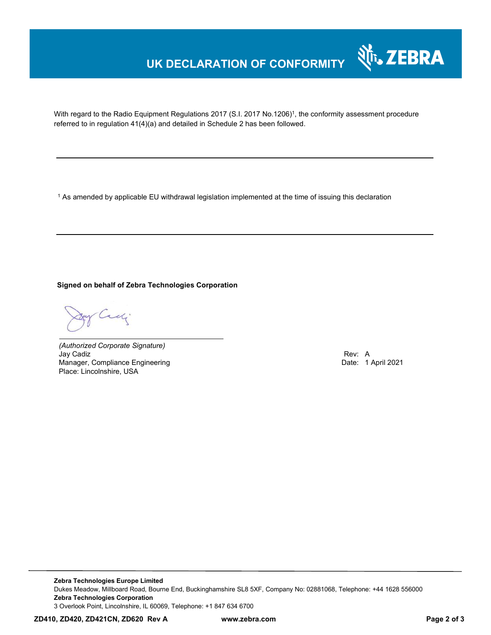## **UK DECLARATION OF CONFORMITY**



With regard to the Radio Equipment Regulations 2017 (S.I. 2017 No.1206)<sup>1</sup>, the conformity assessment procedure referred to in regulation 41(4)(a) and detailed in Schedule 2 has been followed.

 $^{\rm 1}$  As amended by applicable EU withdrawal legislation implemented at the time of issuing this declaration

**Signed on behalf of Zebra Technologies Corporation** 

Cady

*(Authorized Corporate Signature)* Jay Cadiz Rev: A Manager, Compliance Engineering Place: Lincolnshire, USA

**Zebra Technologies Europe Limited**  Dukes Meadow, Millboard Road, Bourne End, Buckinghamshire SL8 5XF, Company No: 02881068, Telephone: +44 1628 556000 **Zebra Technologies Corporation**  3 Overlook Point, Lincolnshire, IL 60069, Telephone: +1 847 634 6700